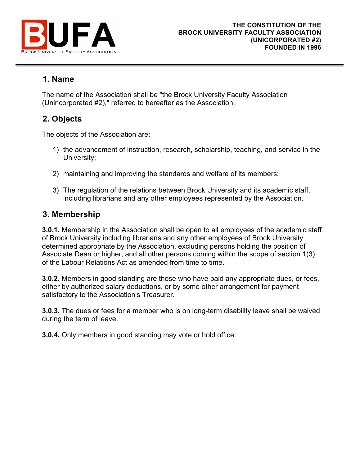

## **1. Name**

The name of the Association shall be "the Brock University Faculty Association (Unincorporated #2)," referred to hereafter as the Association.

# **2. Objects**

The objects of the Association are:

- 1) the advancement of instruction, research, scholarship, teaching, and service in the University;
- 2) maintaining and improving the standards and welfare of its members;
- 3) The regulation of the relations between Brock University and its academic staff, including librarians and any other employees represented by the Association.

## **3. Membership**

**3.0.1.** Membership in the Association shall be open to all employees of the academic staff of Brock University including librarians and any other employees of Brock University determined appropriate by the Association, excluding persons holding the position of Associate Dean or higher, and all other persons coming within the scope of section 1(3) of the Labour Relations Act as amended from time to time.

**3.0.2.** Members in good standing are those who have paid any appropriate dues, or fees, either by authorized salary deductions, or by some other arrangement for payment satisfactory to the Association's Treasurer.

**3.0.3.** The dues or fees for a member who is on long-term disability leave shall be waived during the term of leave.

**3.0.4.** Only members in good standing may vote or hold office.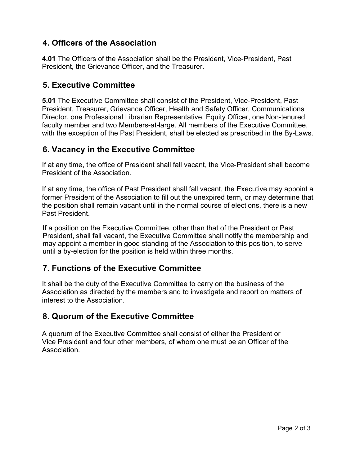## **4. Officers of the Association**

**4.01** The Officers of the Association shall be the President, Vice-President, Past President, the Grievance Officer, and the Treasurer.

### **5. Executive Committee**

**5.01** The Executive Committee shall consist of the President, Vice-President, Past President, Treasurer, Grievance Officer, Health and Safety Officer, Communications Director, one Professional Librarian Representative, Equity Officer, one Non-tenured faculty member and two Members-at-large. All members of the Executive Committee, with the exception of the Past President, shall be elected as prescribed in the By-Laws.

## **6. Vacancy in the Executive Committee**

If at any time, the office of President shall fall vacant, the Vice-President shall become President of the Association.

If at any time, the office of Past President shall fall vacant, the Executive may appoint a former President of the Association to fill out the unexpired term, or may determine that the position shall remain vacant until in the normal course of elections, there is a new Past President.

If a position on the Executive Committee, other than that of the President or Past President, shall fall vacant, the Executive Committee shall notify the membership and may appoint a member in good standing of the Association to this position, to serve until a by-election for the position is held within three months.

## **7. Functions of the Executive Committee**

It shall be the duty of the Executive Committee to carry on the business of the Association as directed by the members and to investigate and report on matters of interest to the Association.

#### **8. Quorum of the Executive Committee**

A quorum of the Executive Committee shall consist of either the President or Vice President and four other members, of whom one must be an Officer of the Association.